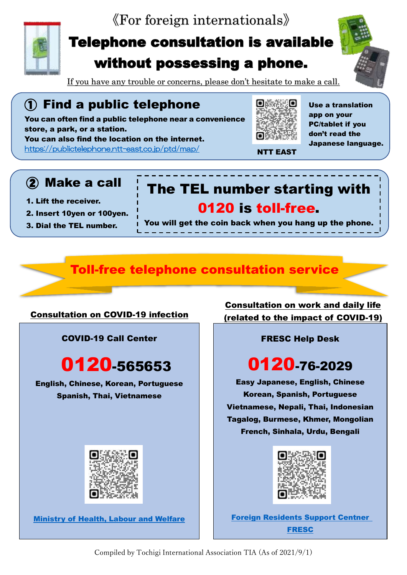



ł

i

## Telephone consultation is available without possessing a phone.

If you have any trouble or concerns, please don't hesitate to make a call.

## ① Find a public telephone

You can often find a public telephone near a convenience store, a park, or a station. You can also find the location on the internet.



NTT EAST

Use a translation app on your PC/tablet if you don't read the Japanese language.

<https://publictelephone.ntt-east.co.jp/ptd/map/>

### ② Make a call

- 1. Lift the receiver.
- 2. Insert 10yen or 100yen.
- 3. Dial the TEL number.

You will get the coin back when you hang up the phone.

The TEL number starting with

0120 is toll-free.

### Toll-free telephone consultation service

#### Consultation on COVID-19 infection

COVID-19 Call Center

# 0120-565653

English, Chinese, Korean, Portuguese Spanish, Thai, Vietnamese



[Ministry of Health, Labour and Welfare](https://www.c19.mhlw.go.jp/)

Consultation on work and daily life (related to the impact of COVID-19)

#### FRESC Help Desk

# 0120-76-2029

Easy Japanese, English, Chinese Korean, Spanish, Portuguese Vietnamese, Nepali, Thai, Indonesian Tagalog, Burmese, Khmer, Mongolian French, Sinhala, Urdu, Bengali



[Foreign Residents Support Centner](https://www.moj.go.jp/isa/support/fresc/fresc01.html) [FRESC](https://www.moj.go.jp/isa/support/fresc/fresc01.html)

Compiled by Tochigi International Association TIA (As of 2021/9/1)